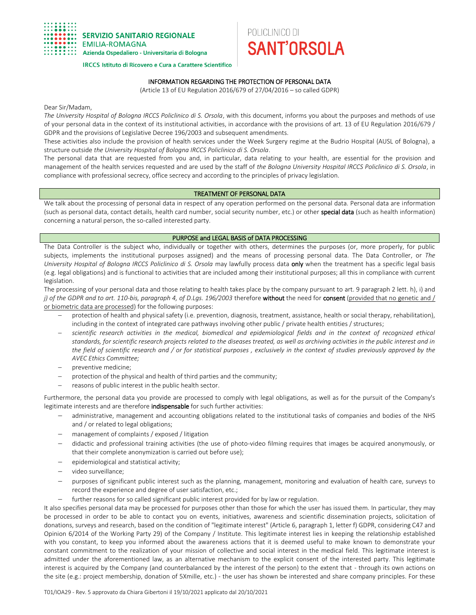

#### **IRCCS Istituto di Ricovero e Cura a Carattere Scientifico**

# INFORMATION REGARDING THE PROTECTION OF PERSONAL DATA

POLICLINICO DI

**SANT'ORSOLA** 

(Article 13 of EU Regulation 2016/679 of 27/04/2016 – so called GDPR)

Dear Sir/Madam,

*The University Hospital of Bologna IRCCS Policlinico di S. Orsola*, with this document, informs you about the purposes and methods of use of your personal data in the context of its institutional activities, in accordance with the provisions of art. 13 of EU Regulation 2016/679 / GDPR and the provisions of Legislative Decree 196/2003 and subsequent amendments.

These activities also include the provision of health services under the Week Surgery regime at the Budrio Hospital (AUSL of Bologna), a structure outside *the University Hospital of Bologna IRCCS Policlinico di S. Orsola*.

The personal data that are requested from you and, in particular, data relating to your health, are essential for the provision and management of the health services requested and are used by the staff of *the Bologna University Hospital IRCCS Policlinico di S. Orsola*, in compliance with professional secrecy, office secrecy and according to the principles of privacy legislation.

### TREATMENT OF PERSONAL DATA

We talk about the processing of personal data in respect of any operation performed on the personal data. Personal data are information (such as personal data, contact details, health card number, social security number, etc.) or other special data (such as health information) concerning a natural person, the so-called interested party.

### PURPOSE and LEGAL BASIS of DATA PROCESSING

The Data Controller is the subject who, individually or together with others, determines the purposes (or, more properly, for public subjects, implements the institutional purposes assigned) and the means of processing personal data. The Data Controller, or *The University Hospital of Bologna IRCCS Policlinico di S. Orsola* may lawfully process data only when the treatment has a specific legal basis (e.g. legal obligations) and is functional to activities that are included among their institutional purposes; all this in compliance with current legislation.

The processing of your personal data and those relating to health takes place by the company pursuant to art. 9 paragraph 2 lett. h), i) and *j)* of the GDPR and to art. 110-bis, paragraph 4, of D.Lgs. 196/2003 therefore without the need for consent (provided that no genetic and / or biometric data are processed) for the following purposes:

- protection of health and physical safety (i.e. prevention, diagnosis, treatment, assistance, health or social therapy, rehabilitation), including in the context of integrated care pathways involving other public / private health entities / structures;
- *scientific research activities in the medical, biomedical and epidemiological fields and in the context of recognized ethical standards, for scientific research projects related to the diseases treated, as well as archiving activities in the public interest and in the field of scientific research and / or for statistical purposes , exclusively in the context of studies previously approved by the AVEC Ethics Committee;*
- preventive medicine;
- protection of the physical and health of third parties and the community;
- reasons of public interest in the public health sector.

Furthermore, the personal data you provide are processed to comply with legal obligations, as well as for the pursuit of the Company's legitimate interests and are therefore indispensable for such further activities:

- administrative, management and accounting obligations related to the institutional tasks of companies and bodies of the NHS and / or related to legal obligations;
- management of complaints / exposed / litigation
- didactic and professional training activities (the use of photo-video filming requires that images be acquired anonymously, or that their complete anonymization is carried out before use);
- epidemiological and statistical activity;
- video surveillance;
- purposes of significant public interest such as the planning, management, monitoring and evaluation of health care, surveys to record the experience and degree of user satisfaction, etc.;
	- further reasons for so called significant public interest provided for by law or regulation.

It also specifies personal data may be processed for purposes other than those for which the user has issued them. In particular, they may be processed in order to be able to contact you on events, initiatives, awareness and scientific dissemination projects, solicitation of donations, surveys and research, based on the condition of "legitimate interest" (Article 6, paragraph 1, letter f) GDPR, considering C47 and Opinion 6/2014 of the Working Party 29) of the Company / Institute. This legitimate interest lies in keeping the relationship established with you constant, to keep you informed about the awareness actions that it is deemed useful to make known to demonstrate your constant commitment to the realization of your mission of collective and social interest in the medical field. This legitimate interest is admitted under the aforementioned law, as an alternative mechanism to the explicit consent of the interested party. This legitimate interest is acquired by the Company (and counterbalanced by the interest of the person) to the extent that - through its own actions on the site (e.g.: project membership, donation of 5Xmille, etc.) - the user has shown be interested and share company principles. For these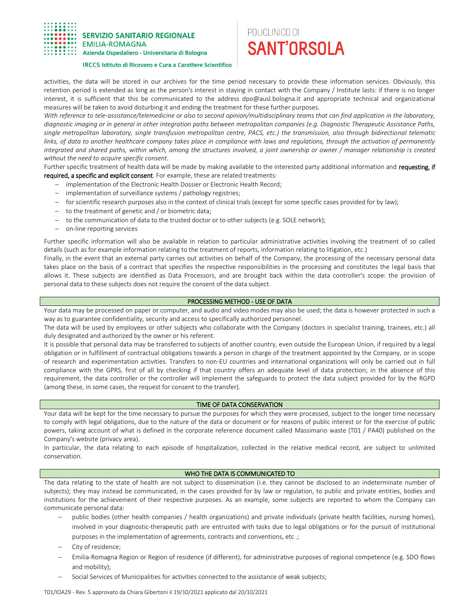

# POLICLINICO DI **SANT'ORSOLA**

#### **IRCCS Istituto di Ricovero e Cura a Carattere Scientifico**

activities, the data will be stored in our archives for the time period necessary to provide these information services. Obviously, this retention period is extended as long as the person's interest in staying in contact with the Company / Institute lasts: if there is no longer interest, it is sufficient that this be communicated to the address dpo@ausl.bologna.it and appropriate technical and organizational measures will be taken to avoid disturbing it and ending the treatment for these further purposes.

*With reference to tele-assistance/telemedicine or also to second opinion/multidisciplinary teams that can find application in the laboratory, diagnostic imaging or in general in other integration paths between metropolitan companies (e.g. Diagnostic Therapeutic Assistance Paths, single metropolitan laboratory, single transfusion metropolitan centre, PACS, etc.) the transmission, also through bidirectional telematic*  links, of data to another healthcare company takes place in compliance with laws and regulations, through the activation of permanently *integrated and shared paths, within which, among the structures involved, a joint ownership or owner / manager relationship is created without the need to acquire specific consent.*

Further specific treatment of health data will be made by making available to the interested party additional information and requesting, if required, a specific and explicit consent. For example, these are related treatments:

- implementation of the Electronic Health Dossier or Electronic Health Record;
- implementation of surveillance systems / pathology registries;
- for scientific research purposes also in the context of clinical trials (except for some specific cases provided for by law);
- $-$  to the treatment of genetic and / or biometric data;
- to the communication of data to the trusted doctor or to other subjects (e.g. SOLE network);
- on-line reporting services

Further specific information will also be available in relation to particular administrative activities involving the treatment of so called details (such as for example information relating to the treatment of reports, information relating to litigation, etc.)

Finally, in the event that an external party carries out activities on behalf of the Company, the processing of the necessary personal data takes place on the basis of a contract that specifies the respective responsibilities in the processing and constitutes the legal basis that allows it. These subjects are identified as Data Processors, and are brought back within the data controller's scope: the provision of personal data to these subjects does not require the consent of the data subject.

## PROCESSING METHOD - USE OF DATA

Your data may be processed on paper or computer, and audio and video modes may also be used; the data is however protected in such a way as to guarantee confidentiality, security and access to specifically authorized personnel.

The data will be used by employees or other subjects who collaborate with the Company (doctors in specialist training, trainees, etc.) all duly designated and authorized by the owner or his referent.

It is possible that personal data may be transferred to subjects of another country, even outside the European Union, if required by a legal obligation or in fulfillment of contractual obligations towards a person in charge of the treatment appointed by the Company, or in scope of research and experimentation activities. Transfers to non-EU countries and international organizations will only be carried out in full compliance with the GPRS, first of all by checking if that country offers an adequate level of data protection; in the absence of this requirement, the data controller or the controller will implement the safeguards to protect the data subject provided for by the RGPD (among these, in some cases, the request for consent to the transfer).

# TIME OF DATA CONSERVATION

Your data will be kept for the time necessary to pursue the purposes for which they were processed, subject to the longer time necessary to comply with legal obligations, due to the nature of the data or document or for reasons of public interest or for the exercise of public powers, taking account of what is defined in the corporate reference document called Massimario waste (T01 / PA40) published on the Company's website (privacy area).

In particular, the data relating to each episode of hospitalization, collected in the relative medical record, are subject to unlimited conservation.

## WHO THE DATA IS COMMUNICATED TO

The data relating to the state of health are not subject to dissemination (i.e. they cannot be disclosed to an indeterminate number of subjects); they may instead be communicated, in the cases provided for by law or regulation, to public and private entities, bodies and institutions for the achievement of their respective purposes. As an example, some subjects are reported to whom the Company can communicate personal data:

- public bodies (other health companies / health organizations) and private individuals (private health facilities, nursing homes), involved in your diagnostic-therapeutic path are entrusted with tasks due to legal obligations or for the pursuit of institutional purposes in the implementation of agreements, contracts and conventions, etc .;
- City of residence;
- Emilia-Romagna Region or Region of residence (if different), for administrative purposes of regional competence (e.g. SDO flows and mobility);
- Social Services of Municipalities for activities connected to the assistance of weak subjects;